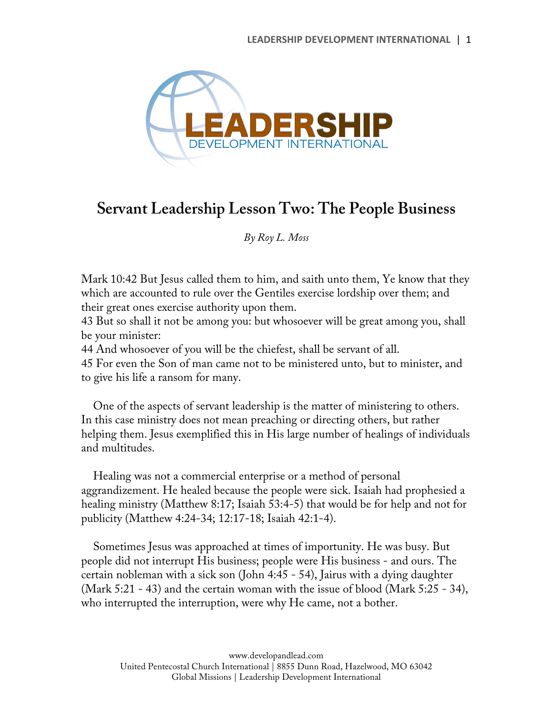

## **Servant Leadership Lesson Two: The People Business**

*By Roy L. Moss*

Mark 10:42 But Jesus called them to him, and saith unto them, Ye know that they which are accounted to rule over the Gentiles exercise lordship over them; and their great ones exercise authority upon them.

43 But so shall it not be among you: but whosoever will be great among you, shall be your minister:

44 And whosoever of you will be the chiefest, shall be servant of all.

45 For even the Son of man came not to be ministered unto, but to minister, and to give his life a ransom for many.

One of the aspects of servant leadership is the matter of ministering to others. In this case ministry does not mean preaching or directing others, but rather helping them. Jesus exemplified this in His large number of healings of individuals and multitudes.

Healing was not a commercial enterprise or a method of personal aggrandizement. He healed because the people were sick. Isaiah had prophesied a healing ministry (Matthew 8:17; Isaiah 53:4-5) that would be for help and not for publicity (Matthew 4:24-34; 12:17-18; Isaiah 42:1-4).

Sometimes Jesus was approached at times of importunity. He was busy. But people did not interrupt His business; people were His business - and ours. The certain nobleman with a sick son (John 4:45 - 54), Jairus with a dying daughter (Mark 5:21 - 43) and the certain woman with the issue of blood (Mark 5:25 - 34), who interrupted the interruption, were why He came, not a bother.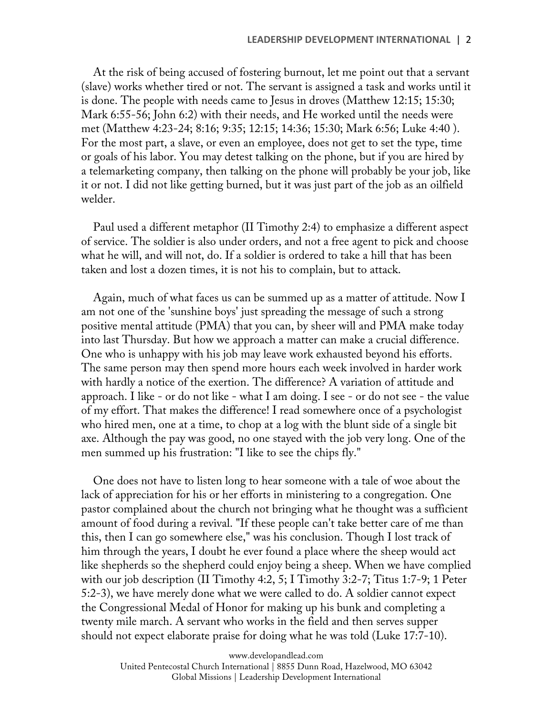At the risk of being accused of fostering burnout, let me point out that a servant (slave) works whether tired or not. The servant is assigned a task and works until it is done. The people with needs came to Jesus in droves (Matthew 12:15; 15:30; Mark 6:55-56; John 6:2) with their needs, and He worked until the needs were met (Matthew 4:23-24; 8:16; 9:35; 12:15; 14:36; 15:30; Mark 6:56; Luke 4:40 ). For the most part, a slave, or even an employee, does not get to set the type, time or goals of his labor. You may detest talking on the phone, but if you are hired by a telemarketing company, then talking on the phone will probably be your job, like it or not. I did not like getting burned, but it was just part of the job as an oilfield welder.

Paul used a different metaphor (II Timothy 2:4) to emphasize a different aspect of service. The soldier is also under orders, and not a free agent to pick and choose what he will, and will not, do. If a soldier is ordered to take a hill that has been taken and lost a dozen times, it is not his to complain, but to attack.

Again, much of what faces us can be summed up as a matter of attitude. Now I am not one of the 'sunshine boys' just spreading the message of such a strong positive mental attitude (PMA) that you can, by sheer will and PMA make today into last Thursday. But how we approach a matter can make a crucial difference. One who is unhappy with his job may leave work exhausted beyond his efforts. The same person may then spend more hours each week involved in harder work with hardly a notice of the exertion. The difference? A variation of attitude and approach. I like - or do not like - what I am doing. I see - or do not see - the value of my effort. That makes the difference! I read somewhere once of a psychologist who hired men, one at a time, to chop at a log with the blunt side of a single bit axe. Although the pay was good, no one stayed with the job very long. One of the men summed up his frustration: "I like to see the chips fly."

One does not have to listen long to hear someone with a tale of woe about the lack of appreciation for his or her efforts in ministering to a congregation. One pastor complained about the church not bringing what he thought was a sufficient amount of food during a revival. "If these people can't take better care of me than this, then I can go somewhere else," was his conclusion. Though I lost track of him through the years, I doubt he ever found a place where the sheep would act like shepherds so the shepherd could enjoy being a sheep. When we have complied with our job description (II Timothy 4:2, 5; I Timothy 3:2-7; Titus 1:7-9; 1 Peter 5:2-3), we have merely done what we were called to do. A soldier cannot expect the Congressional Medal of Honor for making up his bunk and completing a twenty mile march. A servant who works in the field and then serves supper should not expect elaborate praise for doing what he was told (Luke 17:7-10).